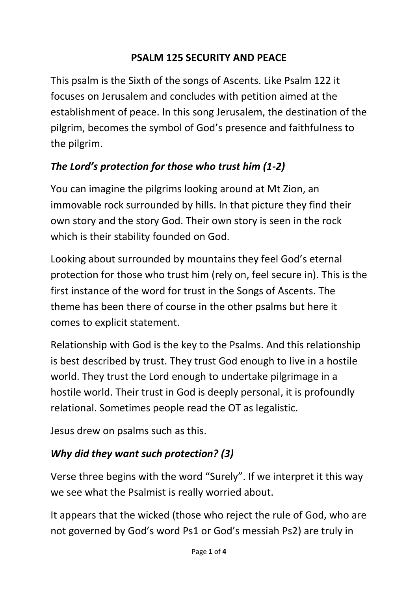#### **PSALM 125 SECURITY AND PEACE**

This psalm is the Sixth of the songs of Ascents. Like Psalm 122 it focuses on Jerusalem and concludes with petition aimed at the establishment of peace. In this song Jerusalem, the destination of the pilgrim, becomes the symbol of God's presence and faithfulness to the pilgrim.

### *The Lord's protection for those who trust him (1-2)*

You can imagine the pilgrims looking around at Mt Zion, an immovable rock surrounded by hills. In that picture they find their own story and the story God. Their own story is seen in the rock which is their stability founded on God.

Looking about surrounded by mountains they feel God's eternal protection for those who trust him (rely on, feel secure in). This is the first instance of the word for trust in the Songs of Ascents. The theme has been there of course in the other psalms but here it comes to explicit statement.

Relationship with God is the key to the Psalms. And this relationship is best described by trust. They trust God enough to live in a hostile world. They trust the Lord enough to undertake pilgrimage in a hostile world. Their trust in God is deeply personal, it is profoundly relational. Sometimes people read the OT as legalistic.

Jesus drew on psalms such as this.

### *Why did they want such protection? (3)*

Verse three begins with the word "Surely". If we interpret it this way we see what the Psalmist is really worried about.

It appears that the wicked (those who reject the rule of God, who are not governed by God's word Ps1 or God's messiah Ps2) are truly in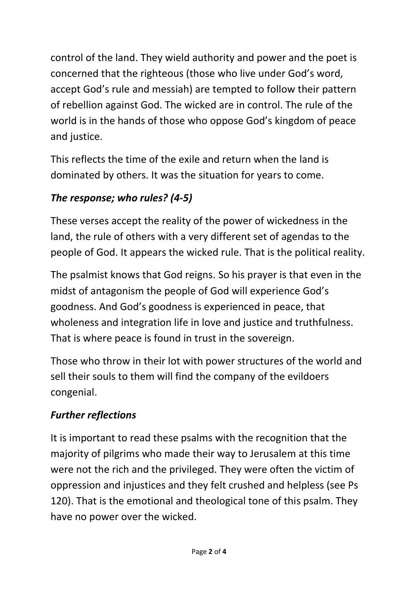control of the land. They wield authority and power and the poet is concerned that the righteous (those who live under God's word, accept God's rule and messiah) are tempted to follow their pattern of rebellion against God. The wicked are in control. The rule of the world is in the hands of those who oppose God's kingdom of peace and justice.

This reflects the time of the exile and return when the land is dominated by others. It was the situation for years to come.

## *The response; who rules? (4-5)*

These verses accept the reality of the power of wickedness in the land, the rule of others with a very different set of agendas to the people of God. It appears the wicked rule. That is the political reality.

The psalmist knows that God reigns. So his prayer is that even in the midst of antagonism the people of God will experience God's goodness. And God's goodness is experienced in peace, that wholeness and integration life in love and justice and truthfulness. That is where peace is found in trust in the sovereign.

Those who throw in their lot with power structures of the world and sell their souls to them will find the company of the evildoers congenial.

# *Further reflections*

It is important to read these psalms with the recognition that the majority of pilgrims who made their way to Jerusalem at this time were not the rich and the privileged. They were often the victim of oppression and injustices and they felt crushed and helpless (see Ps 120). That is the emotional and theological tone of this psalm. They have no power over the wicked.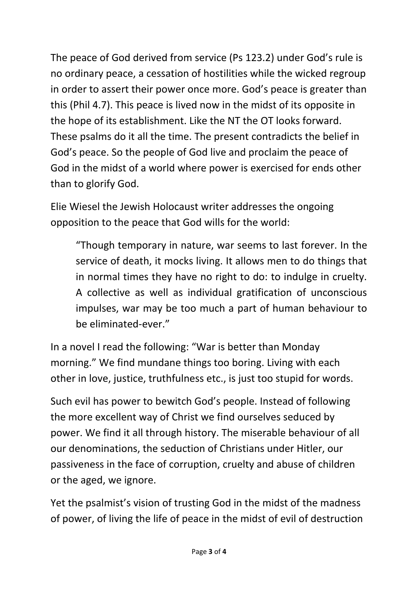The peace of God derived from service (Ps 123.2) under God's rule is no ordinary peace, a cessation of hostilities while the wicked regroup in order to assert their power once more. God's peace is greater than this (Phil 4.7). This peace is lived now in the midst of its opposite in the hope of its establishment. Like the NT the OT looks forward. These psalms do it all the time. The present contradicts the belief in God's peace. So the people of God live and proclaim the peace of God in the midst of a world where power is exercised for ends other than to glorify God.

Elie Wiesel the Jewish Holocaust writer addresses the ongoing opposition to the peace that God wills for the world:

"Though temporary in nature, war seems to last forever. In the service of death, it mocks living. It allows men to do things that in normal times they have no right to do: to indulge in cruelty. A collective as well as individual gratification of unconscious impulses, war may be too much a part of human behaviour to be eliminated-ever."

In a novel I read the following: "War is better than Monday morning." We find mundane things too boring. Living with each other in love, justice, truthfulness etc., is just too stupid for words.

Such evil has power to bewitch God's people. Instead of following the more excellent way of Christ we find ourselves seduced by power. We find it all through history. The miserable behaviour of all our denominations, the seduction of Christians under Hitler, our passiveness in the face of corruption, cruelty and abuse of children or the aged, we ignore.

Yet the psalmist's vision of trusting God in the midst of the madness of power, of living the life of peace in the midst of evil of destruction